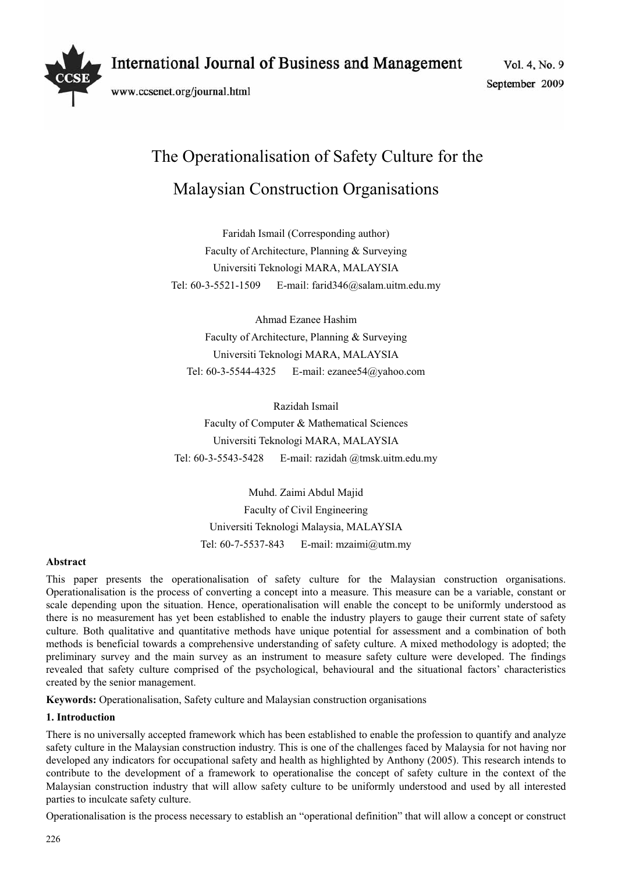Vol. 4, No. 9 *International Journal of Business and Management* 



Vol. 4, No. 9 September 2009

# The Operationalisation of Safety Culture for the Malaysian Construction Organisations

Faridah Ismail (Corresponding author) Faculty of Architecture, Planning & Surveying Universiti Teknologi MARA, MALAYSIA Tel: 60-3-5521-1509 E-mail: farid346@salam.uitm.edu.my

Ahmad Ezanee Hashim Faculty of Architecture, Planning & Surveying Universiti Teknologi MARA, MALAYSIA Tel: 60-3-5544-4325 E-mail: ezanee54@yahoo.com

Razidah Ismail Faculty of Computer & Mathematical Sciences Universiti Teknologi MARA, MALAYSIA Tel: 60-3-5543-5428 E-mail: razidah @tmsk.uitm.edu.my

Muhd. Zaimi Abdul Majid Faculty of Civil Engineering Universiti Teknologi Malaysia, MALAYSIA Tel: 60-7-5537-843 E-mail: mzaimi@utm.my

# **Abstract**

This paper presents the operationalisation of safety culture for the Malaysian construction organisations. Operationalisation is the process of converting a concept into a measure. This measure can be a variable, constant or scale depending upon the situation. Hence, operationalisation will enable the concept to be uniformly understood as there is no measurement has yet been established to enable the industry players to gauge their current state of safety culture. Both qualitative and quantitative methods have unique potential for assessment and a combination of both methods is beneficial towards a comprehensive understanding of safety culture. A mixed methodology is adopted; the preliminary survey and the main survey as an instrument to measure safety culture were developed. The findings revealed that safety culture comprised of the psychological, behavioural and the situational factors' characteristics created by the senior management.

**Keywords:** Operationalisation, Safety culture and Malaysian construction organisations

# **1. Introduction**

There is no universally accepted framework which has been established to enable the profession to quantify and analyze safety culture in the Malaysian construction industry. This is one of the challenges faced by Malaysia for not having nor developed any indicators for occupational safety and health as highlighted by Anthony (2005). This research intends to contribute to the development of a framework to operationalise the concept of safety culture in the context of the Malaysian construction industry that will allow safety culture to be uniformly understood and used by all interested parties to inculcate safety culture.

Operationalisation is the process necessary to establish an "operational definition" that will allow a concept or construct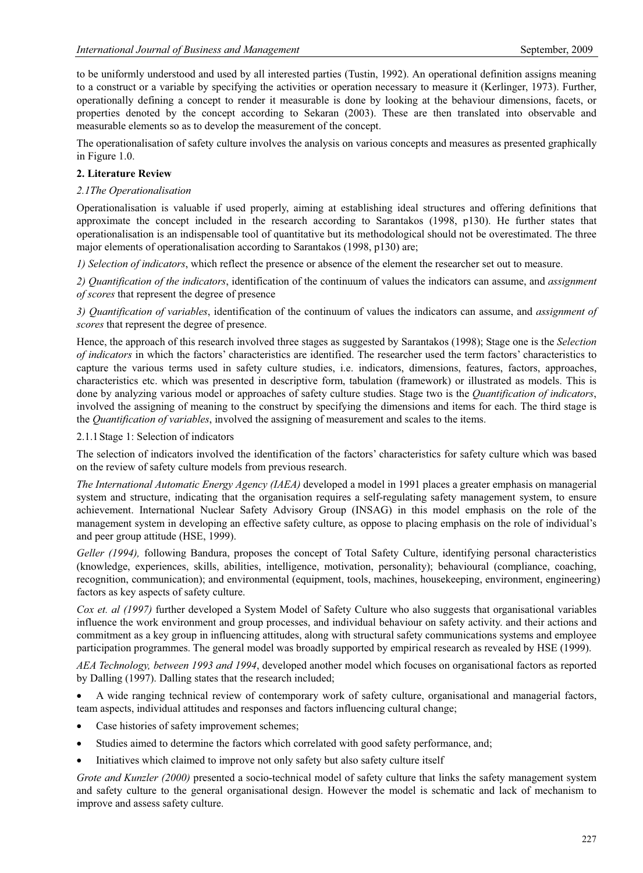to be uniformly understood and used by all interested parties (Tustin, 1992). An operational definition assigns meaning to a construct or a variable by specifying the activities or operation necessary to measure it (Kerlinger, 1973). Further, operationally defining a concept to render it measurable is done by looking at the behaviour dimensions, facets, or properties denoted by the concept according to Sekaran (2003). These are then translated into observable and measurable elements so as to develop the measurement of the concept.

The operationalisation of safety culture involves the analysis on various concepts and measures as presented graphically in Figure 1.0.

# **2. Literature Review**

## *2.1The Operationalisation*

Operationalisation is valuable if used properly, aiming at establishing ideal structures and offering definitions that approximate the concept included in the research according to Sarantakos (1998, p130). He further states that operationalisation is an indispensable tool of quantitative but its methodological should not be overestimated. The three major elements of operationalisation according to Sarantakos (1998, p130) are;

*1) Selection of indicators*, which reflect the presence or absence of the element the researcher set out to measure.

*2) Quantification of the indicators*, identification of the continuum of values the indicators can assume, and *assignment of scores* that represent the degree of presence

*3) Quantification of variables*, identification of the continuum of values the indicators can assume, and *assignment of scores* that represent the degree of presence.

Hence, the approach of this research involved three stages as suggested by Sarantakos (1998); Stage one is the *Selection of indicators* in which the factors' characteristics are identified. The researcher used the term factors' characteristics to capture the various terms used in safety culture studies, i.e. indicators, dimensions, features, factors, approaches, characteristics etc. which was presented in descriptive form, tabulation (framework) or illustrated as models. This is done by analyzing various model or approaches of safety culture studies. Stage two is the *Quantification of indicators*, involved the assigning of meaning to the construct by specifying the dimensions and items for each. The third stage is the *Quantification of variables*, involved the assigning of measurement and scales to the items.

## 2.1.1 Stage 1: Selection of indicators

The selection of indicators involved the identification of the factors' characteristics for safety culture which was based on the review of safety culture models from previous research.

*The International Automatic Energy Agency (IAEA)* developed a model in 1991 places a greater emphasis on managerial system and structure, indicating that the organisation requires a self-regulating safety management system, to ensure achievement. International Nuclear Safety Advisory Group (INSAG) in this model emphasis on the role of the management system in developing an effective safety culture, as oppose to placing emphasis on the role of individual's and peer group attitude (HSE, 1999).

*Geller (1994),* following Bandura, proposes the concept of Total Safety Culture, identifying personal characteristics (knowledge, experiences, skills, abilities, intelligence, motivation, personality); behavioural (compliance, coaching, recognition, communication); and environmental (equipment, tools, machines, housekeeping, environment, engineering) factors as key aspects of safety culture.

*Cox et. al (1997)* further developed a System Model of Safety Culture who also suggests that organisational variables influence the work environment and group processes, and individual behaviour on safety activity. and their actions and commitment as a key group in influencing attitudes, along with structural safety communications systems and employee participation programmes. The general model was broadly supported by empirical research as revealed by HSE (1999).

*AEA Technology, between 1993 and 1994*, developed another model which focuses on organisational factors as reported by Dalling (1997). Dalling states that the research included;

 $\bullet$  A wide ranging technical review of contemporary work of safety culture, organisational and managerial factors, team aspects, individual attitudes and responses and factors influencing cultural change;

- $\bullet$ Case histories of safety improvement schemes;
- . Studies aimed to determine the factors which correlated with good safety performance, and;
- . Initiatives which claimed to improve not only safety but also safety culture itself

*Grote and Kunzler (2000)* presented a socio-technical model of safety culture that links the safety management system and safety culture to the general organisational design. However the model is schematic and lack of mechanism to improve and assess safety culture.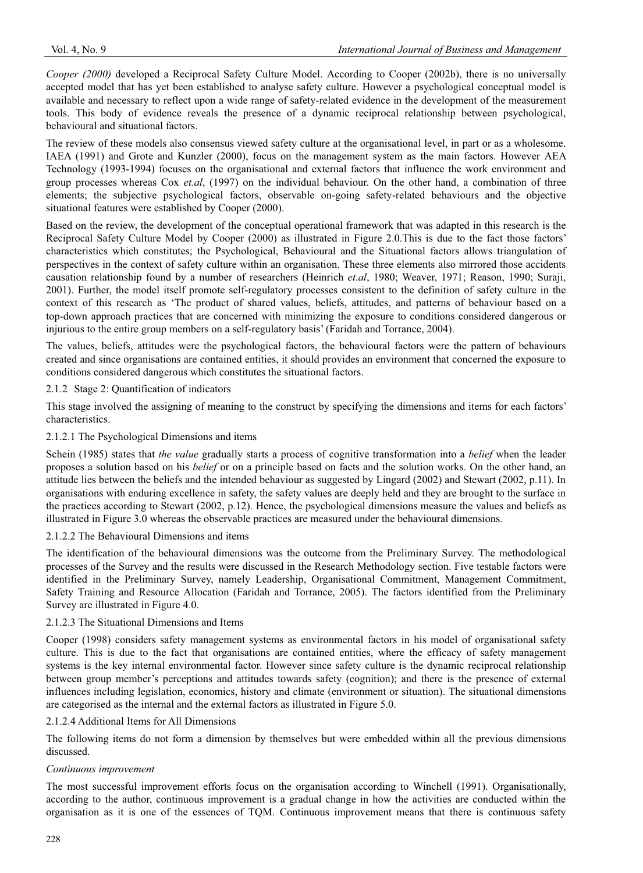*Cooper (2000)* developed a Reciprocal Safety Culture Model. According to Cooper (2002b), there is no universally accepted model that has yet been established to analyse safety culture. However a psychological conceptual model is available and necessary to reflect upon a wide range of safety-related evidence in the development of the measurement tools. This body of evidence reveals the presence of a dynamic reciprocal relationship between psychological, behavioural and situational factors.

The review of these models also consensus viewed safety culture at the organisational level, in part or as a wholesome. IAEA (1991) and Grote and Kunzler (2000), focus on the management system as the main factors. However AEA Technology (1993-1994) focuses on the organisational and external factors that influence the work environment and group processes whereas Cox *et.al*, (1997) on the individual behaviour. On the other hand, a combination of three elements; the subjective psychological factors, observable on-going safety-related behaviours and the objective situational features were established by Cooper (2000).

Based on the review, the development of the conceptual operational framework that was adapted in this research is the Reciprocal Safety Culture Model by Cooper (2000) as illustrated in Figure 2.0.This is due to the fact those factors' characteristics which constitutes; the Psychological, Behavioural and the Situational factors allows triangulation of perspectives in the context of safety culture within an organisation. These three elements also mirrored those accidents causation relationship found by a number of researchers (Heinrich *et.al*, 1980; Weaver, 1971; Reason, 1990; Suraji, 2001). Further, the model itself promote self-regulatory processes consistent to the definition of safety culture in the context of this research as 'The product of shared values, beliefs, attitudes, and patterns of behaviour based on a top-down approach practices that are concerned with minimizing the exposure to conditions considered dangerous or injurious to the entire group members on a self-regulatory basis' (Faridah and Torrance, 2004).

The values, beliefs, attitudes were the psychological factors, the behavioural factors were the pattern of behaviours created and since organisations are contained entities, it should provides an environment that concerned the exposure to conditions considered dangerous which constitutes the situational factors.

## 2.1.2 Stage 2: Quantification of indicators

This stage involved the assigning of meaning to the construct by specifying the dimensions and items for each factors' characteristics.

## 2.1.2.1 The Psychological Dimensions and items

Schein (1985) states that *the value* gradually starts a process of cognitive transformation into a *belief* when the leader proposes a solution based on his *belief* or on a principle based on facts and the solution works. On the other hand, an attitude lies between the beliefs and the intended behaviour as suggested by Lingard (2002) and Stewart (2002, p.11). In organisations with enduring excellence in safety, the safety values are deeply held and they are brought to the surface in the practices according to Stewart (2002, p.12). Hence, the psychological dimensions measure the values and beliefs as illustrated in Figure 3.0 whereas the observable practices are measured under the behavioural dimensions.

## 2.1.2.2 The Behavioural Dimensions and items

The identification of the behavioural dimensions was the outcome from the Preliminary Survey. The methodological processes of the Survey and the results were discussed in the Research Methodology section. Five testable factors were identified in the Preliminary Survey, namely Leadership, Organisational Commitment, Management Commitment, Safety Training and Resource Allocation (Faridah and Torrance, 2005). The factors identified from the Preliminary Survey are illustrated in Figure 4.0.

## 2.1.2.3 The Situational Dimensions and Items

Cooper (1998) considers safety management systems as environmental factors in his model of organisational safety culture. This is due to the fact that organisations are contained entities, where the efficacy of safety management systems is the key internal environmental factor. However since safety culture is the dynamic reciprocal relationship between group member's perceptions and attitudes towards safety (cognition); and there is the presence of external influences including legislation, economics, history and climate (environment or situation). The situational dimensions are categorised as the internal and the external factors as illustrated in Figure 5.0.

## 2.1.2.4 Additional Items for All Dimensions

The following items do not form a dimension by themselves but were embedded within all the previous dimensions discussed.

## *Continuous improvement*

The most successful improvement efforts focus on the organisation according to Winchell (1991). Organisationally, according to the author, continuous improvement is a gradual change in how the activities are conducted within the organisation as it is one of the essences of TQM. Continuous improvement means that there is continuous safety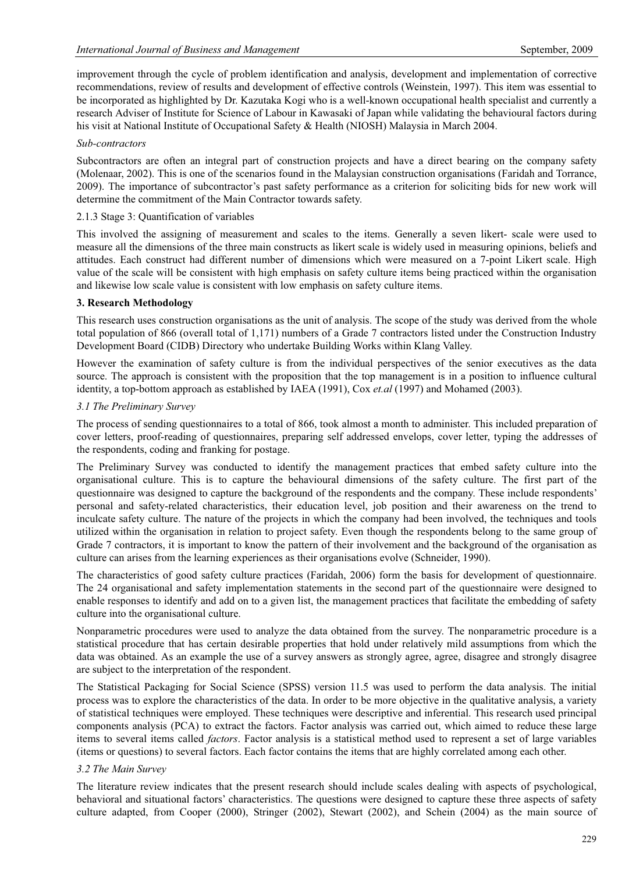improvement through the cycle of problem identification and analysis, development and implementation of corrective recommendations, review of results and development of effective controls (Weinstein, 1997). This item was essential to be incorporated as highlighted by Dr. Kazutaka Kogi who is a well-known occupational health specialist and currently a research Adviser of Institute for Science of Labour in Kawasaki of Japan while validating the behavioural factors during his visit at National Institute of Occupational Safety & Health (NIOSH) Malaysia in March 2004.

## *Sub-contractors*

Subcontractors are often an integral part of construction projects and have a direct bearing on the company safety (Molenaar, 2002). This is one of the scenarios found in the Malaysian construction organisations (Faridah and Torrance, 2009). The importance of subcontractor's past safety performance as a criterion for soliciting bids for new work will determine the commitment of the Main Contractor towards safety.

## 2.1.3 Stage 3: Quantification of variables

This involved the assigning of measurement and scales to the items. Generally a seven likert- scale were used to measure all the dimensions of the three main constructs as likert scale is widely used in measuring opinions, beliefs and attitudes. Each construct had different number of dimensions which were measured on a 7-point Likert scale. High value of the scale will be consistent with high emphasis on safety culture items being practiced within the organisation and likewise low scale value is consistent with low emphasis on safety culture items.

## **3. Research Methodology**

This research uses construction organisations as the unit of analysis. The scope of the study was derived from the whole total population of 866 (overall total of 1,171) numbers of a Grade 7 contractors listed under the Construction Industry Development Board (CIDB) Directory who undertake Building Works within Klang Valley.

However the examination of safety culture is from the individual perspectives of the senior executives as the data source. The approach is consistent with the proposition that the top management is in a position to influence cultural identity, a top-bottom approach as established by IAEA (1991), Cox *et.al* (1997) and Mohamed (2003).

## *3.1 The Preliminary Survey*

The process of sending questionnaires to a total of 866, took almost a month to administer. This included preparation of cover letters, proof-reading of questionnaires, preparing self addressed envelops, cover letter, typing the addresses of the respondents, coding and franking for postage.

The Preliminary Survey was conducted to identify the management practices that embed safety culture into the organisational culture. This is to capture the behavioural dimensions of the safety culture. The first part of the questionnaire was designed to capture the background of the respondents and the company. These include respondents' personal and safety-related characteristics, their education level, job position and their awareness on the trend to inculcate safety culture. The nature of the projects in which the company had been involved, the techniques and tools utilized within the organisation in relation to project safety. Even though the respondents belong to the same group of Grade 7 contractors, it is important to know the pattern of their involvement and the background of the organisation as culture can arises from the learning experiences as their organisations evolve (Schneider, 1990).

The characteristics of good safety culture practices (Faridah, 2006) form the basis for development of questionnaire. The 24 organisational and safety implementation statements in the second part of the questionnaire were designed to enable responses to identify and add on to a given list, the management practices that facilitate the embedding of safety culture into the organisational culture.

Nonparametric procedures were used to analyze the data obtained from the survey. The nonparametric procedure is a statistical procedure that has certain desirable properties that hold under relatively mild assumptions from which the data was obtained. As an example the use of a survey answers as strongly agree, agree, disagree and strongly disagree are subject to the interpretation of the respondent.

The Statistical Packaging for Social Science (SPSS) version 11.5 was used to perform the data analysis. The initial process was to explore the characteristics of the data. In order to be more objective in the qualitative analysis, a variety of statistical techniques were employed. These techniques were descriptive and inferential. This research used principal components analysis (PCA) to extract the factors. Factor analysis was carried out, which aimed to reduce these large items to several items called *factors*. Factor analysis is a statistical method used to represent a set of large variables (items or questions) to several factors. Each factor contains the items that are highly correlated among each other.

# *3.2 The Main Survey*

The literature review indicates that the present research should include scales dealing with aspects of psychological, behavioral and situational factors' characteristics. The questions were designed to capture these three aspects of safety culture adapted, from Cooper (2000), Stringer (2002), Stewart (2002), and Schein (2004) as the main source of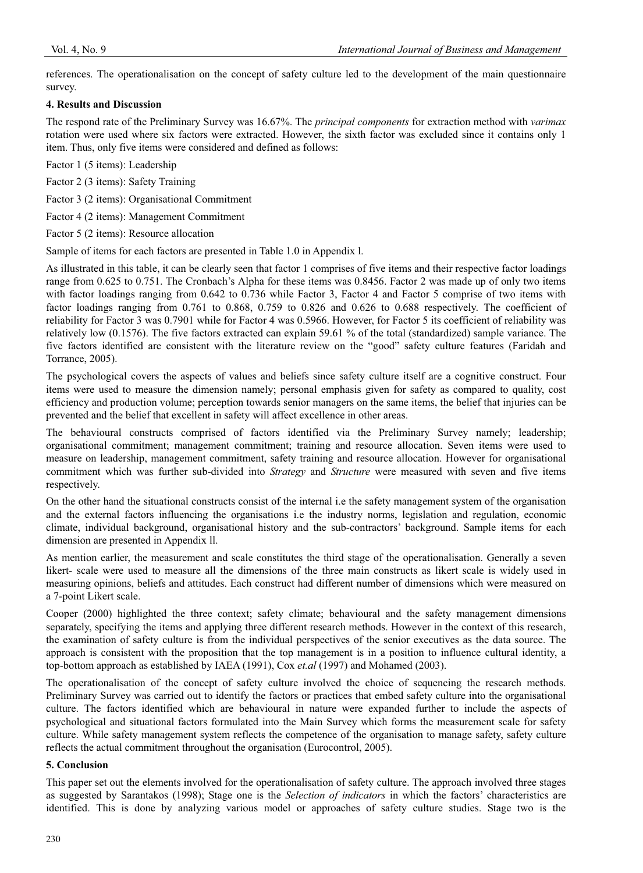references. The operationalisation on the concept of safety culture led to the development of the main questionnaire survey.

## **4. Results and Discussion**

The respond rate of the Preliminary Survey was 16.67%. The *principal components* for extraction method with *varimax* rotation were used where six factors were extracted. However, the sixth factor was excluded since it contains only 1 item. Thus, only five items were considered and defined as follows:

Factor 1 (5 items): Leadership

- Factor 2 (3 items): Safety Training
- Factor 3 (2 items): Organisational Commitment
- Factor 4 (2 items): Management Commitment
- Factor 5 (2 items): Resource allocation

Sample of items for each factors are presented in Table 1.0 in Appendix l.

As illustrated in this table, it can be clearly seen that factor 1 comprises of five items and their respective factor loadings range from 0.625 to 0.751. The Cronbach's Alpha for these items was 0.8456. Factor 2 was made up of only two items with factor loadings ranging from 0.642 to 0.736 while Factor 3, Factor 4 and Factor 5 comprise of two items with factor loadings ranging from 0.761 to 0.868, 0.759 to 0.826 and 0.626 to 0.688 respectively. The coefficient of reliability for Factor 3 was 0.7901 while for Factor 4 was 0.5966. However, for Factor 5 its coefficient of reliability was relatively low (0.1576). The five factors extracted can explain 59.61 % of the total (standardized) sample variance. The five factors identified are consistent with the literature review on the "good" safety culture features (Faridah and Torrance, 2005).

The psychological covers the aspects of values and beliefs since safety culture itself are a cognitive construct. Four items were used to measure the dimension namely; personal emphasis given for safety as compared to quality, cost efficiency and production volume; perception towards senior managers on the same items, the belief that injuries can be prevented and the belief that excellent in safety will affect excellence in other areas.

The behavioural constructs comprised of factors identified via the Preliminary Survey namely; leadership; organisational commitment; management commitment; training and resource allocation. Seven items were used to measure on leadership, management commitment, safety training and resource allocation. However for organisational commitment which was further sub-divided into *Strategy* and *Structure* were measured with seven and five items respectively.

On the other hand the situational constructs consist of the internal i.e the safety management system of the organisation and the external factors influencing the organisations i.e the industry norms, legislation and regulation, economic climate, individual background, organisational history and the sub-contractors' background. Sample items for each dimension are presented in Appendix ll.

As mention earlier, the measurement and scale constitutes the third stage of the operationalisation. Generally a seven likert- scale were used to measure all the dimensions of the three main constructs as likert scale is widely used in measuring opinions, beliefs and attitudes. Each construct had different number of dimensions which were measured on a 7-point Likert scale.

Cooper (2000) highlighted the three context; safety climate; behavioural and the safety management dimensions separately, specifying the items and applying three different research methods. However in the context of this research, the examination of safety culture is from the individual perspectives of the senior executives as the data source. The approach is consistent with the proposition that the top management is in a position to influence cultural identity, a top-bottom approach as established by IAEA (1991), Cox *et.al* (1997) and Mohamed (2003).

The operationalisation of the concept of safety culture involved the choice of sequencing the research methods. Preliminary Survey was carried out to identify the factors or practices that embed safety culture into the organisational culture. The factors identified which are behavioural in nature were expanded further to include the aspects of psychological and situational factors formulated into the Main Survey which forms the measurement scale for safety culture. While safety management system reflects the competence of the organisation to manage safety, safety culture reflects the actual commitment throughout the organisation (Eurocontrol, 2005).

## **5. Conclusion**

This paper set out the elements involved for the operationalisation of safety culture. The approach involved three stages as suggested by Sarantakos (1998); Stage one is the *Selection of indicators* in which the factors' characteristics are identified. This is done by analyzing various model or approaches of safety culture studies. Stage two is the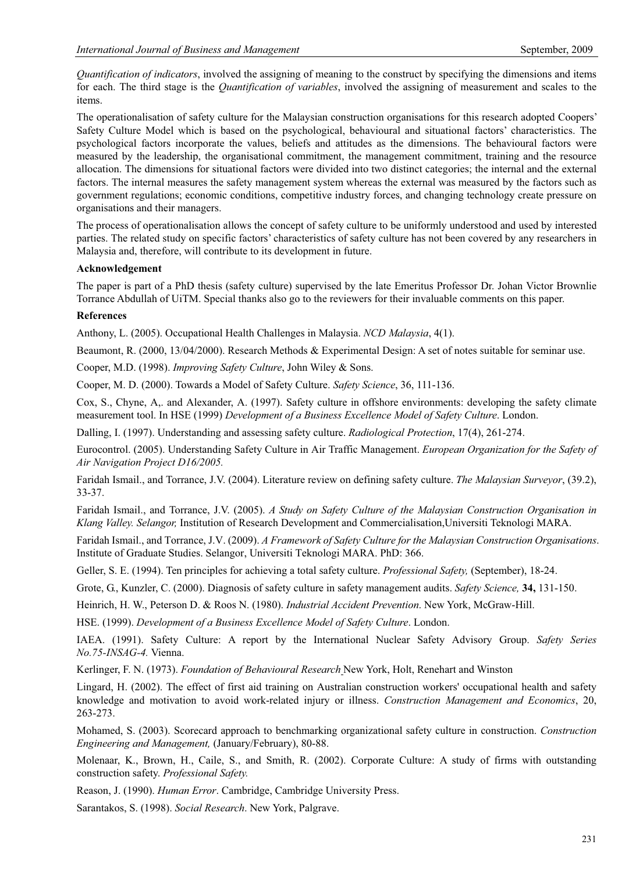*Quantification of indicators*, involved the assigning of meaning to the construct by specifying the dimensions and items for each. The third stage is the *Quantification of variables*, involved the assigning of measurement and scales to the items.

The operationalisation of safety culture for the Malaysian construction organisations for this research adopted Coopers' Safety Culture Model which is based on the psychological, behavioural and situational factors' characteristics. The psychological factors incorporate the values, beliefs and attitudes as the dimensions. The behavioural factors were measured by the leadership, the organisational commitment, the management commitment, training and the resource allocation. The dimensions for situational factors were divided into two distinct categories; the internal and the external factors. The internal measures the safety management system whereas the external was measured by the factors such as government regulations; economic conditions, competitive industry forces, and changing technology create pressure on organisations and their managers.

The process of operationalisation allows the concept of safety culture to be uniformly understood and used by interested parties. The related study on specific factors' characteristics of safety culture has not been covered by any researchers in Malaysia and, therefore, will contribute to its development in future.

#### **Acknowledgement**

The paper is part of a PhD thesis (safety culture) supervised by the late Emeritus Professor Dr. Johan Victor Brownlie Torrance Abdullah of UiTM. Special thanks also go to the reviewers for their invaluable comments on this paper.

#### **References**

Anthony, L. (2005). Occupational Health Challenges in Malaysia. *NCD Malaysia*, 4(1).

Beaumont, R. (2000, 13/04/2000). Research Methods & Experimental Design: A set of notes suitable for seminar use.

Cooper, M.D. (1998). *Improving Safety Culture*, John Wiley & Sons.

Cooper, M. D. (2000). Towards a Model of Safety Culture. *Safety Science*, 36, 111-136.

Cox, S., Chyne, A,. and Alexander, A. (1997). Safety culture in offshore environments: developing the safety climate measurement tool. In HSE (1999) *Development of a Business Excellence Model of Safety Culture*. London.

Dalling, I. (1997). Understanding and assessing safety culture. *Radiological Protection*, 17(4), 261-274.

Eurocontrol. (2005). Understanding Safety Culture in Air Traffic Management. *European Organization for the Safety of Air Navigation Project D16/2005.* 

Faridah Ismail., and Torrance, J.V. (2004). Literature review on defining safety culture. *The Malaysian Surveyor*, (39.2), 33-37.

Faridah Ismail., and Torrance, J.V. (2005). *A Study on Safety Culture of the Malaysian Construction Organisation in Klang Valley. Selangor,* Institution of Research Development and Commercialisation,Universiti Teknologi MARA.

Faridah Ismail., and Torrance, J.V. (2009). *A Framework of Safety Culture for the Malaysian Construction Organisations*. Institute of Graduate Studies. Selangor, Universiti Teknologi MARA. PhD: 366.

Geller, S. E. (1994). Ten principles for achieving a total safety culture. *Professional Safety,* (September), 18-24.

Grote, G., Kunzler, C. (2000). Diagnosis of safety culture in safety management audits. *Safety Science,* **34,** 131-150.

Heinrich, H. W., Peterson D. & Roos N. (1980). *Industrial Accident Prevention*. New York, McGraw-Hill.

HSE. (1999). *Development of a Business Excellence Model of Safety Culture*. London.

IAEA. (1991). Safety Culture: A report by the International Nuclear Safety Advisory Group. *Safety Series No.75-INSAG-4.* Vienna.

Kerlinger, F. N. (1973). *Foundation of Behavioural Research* New York, Holt, Renehart and Winston

Lingard, H. (2002). The effect of first aid training on Australian construction workers' occupational health and safety knowledge and motivation to avoid work-related injury or illness. *Construction Management and Economics*, 20, 263-273.

Mohamed, S. (2003). Scorecard approach to benchmarking organizational safety culture in construction. *Construction Engineering and Management,* (January/February), 80-88.

Molenaar, K., Brown, H., Caile, S., and Smith, R. (2002). Corporate Culture: A study of firms with outstanding construction safety. *Professional Safety.* 

Reason, J. (1990). *Human Error*. Cambridge, Cambridge University Press.

Sarantakos, S. (1998). *Social Research*. New York, Palgrave.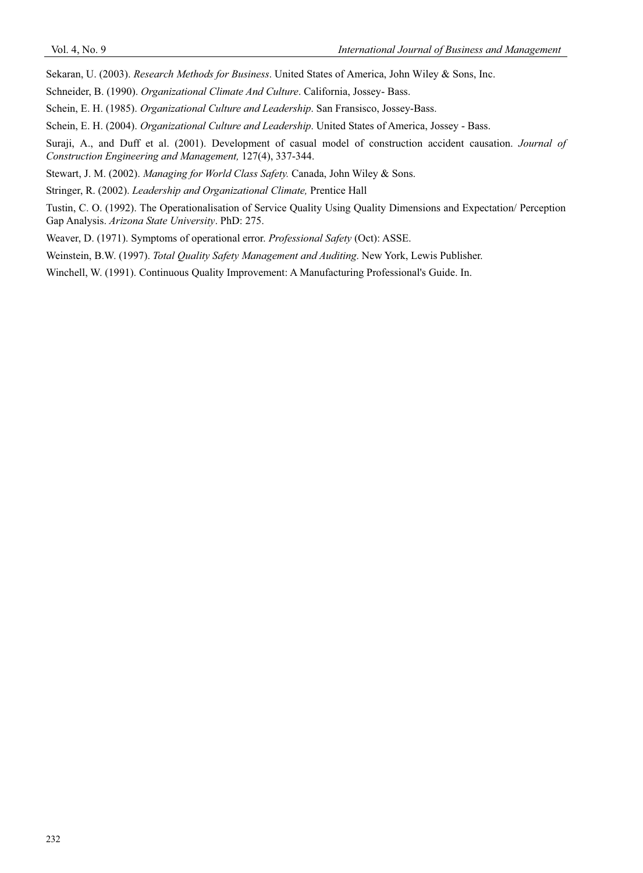Sekaran, U. (2003). *Research Methods for Business*. United States of America, John Wiley & Sons, Inc.

Schneider, B. (1990). *Organizational Climate And Culture*. California, Jossey- Bass.

Schein, E. H. (1985). *Organizational Culture and Leadership*. San Fransisco, Jossey-Bass.

Schein, E. H. (2004). *Organizational Culture and Leadership*. United States of America, Jossey - Bass.

Suraji, A., and Duff et al. (2001). Development of casual model of construction accident causation. *Journal of Construction Engineering and Management,* 127(4), 337-344.

Stewart, J. M. (2002). *Managing for World Class Safety.* Canada, John Wiley & Sons.

Stringer, R. (2002). *Leadership and Organizational Climate,* Prentice Hall

Tustin, C. O. (1992). The Operationalisation of Service Quality Using Quality Dimensions and Expectation/ Perception Gap Analysis. *Arizona State University*. PhD: 275.

Weaver, D. (1971). Symptoms of operational error. *Professional Safety* (Oct): ASSE.

Weinstein, B.W. (1997). *Total Quality Safety Management and Auditing*. New York, Lewis Publisher.

Winchell, W. (1991). Continuous Quality Improvement: A Manufacturing Professional's Guide. In.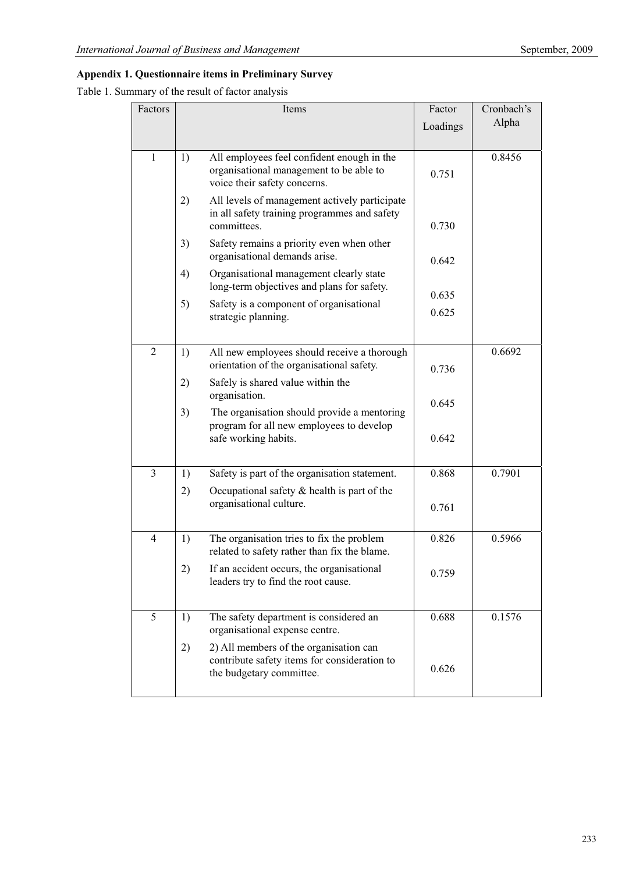# **Appendix 1. Questionnaire items in Preliminary Survey**

Table 1. Summary of the result of factor analysis

| Factors        | Items                                                                                                                       | Factor<br>Loadings | Cronbach's<br>Alpha |
|----------------|-----------------------------------------------------------------------------------------------------------------------------|--------------------|---------------------|
| $\mathbf{1}$   | All employees feel confident enough in the<br>1)<br>organisational management to be able to<br>voice their safety concerns. | 0.751              | 0.8456              |
|                | 2)<br>All levels of management actively participate<br>in all safety training programmes and safety<br>committees.          | 0.730              |                     |
|                | 3)<br>Safety remains a priority even when other<br>organisational demands arise.                                            | 0.642              |                     |
|                | 4)<br>Organisational management clearly state<br>long-term objectives and plans for safety.                                 | 0.635              |                     |
|                | 5)<br>Safety is a component of organisational<br>strategic planning.                                                        | 0.625              |                     |
| $\overline{2}$ | All new employees should receive a thorough<br>1)                                                                           |                    | 0.6692              |
|                | orientation of the organisational safety.<br>Safely is shared value within the                                              | 0.736              |                     |
|                | 2)<br>organisation.                                                                                                         | 0.645              |                     |
|                | 3)<br>The organisation should provide a mentoring<br>program for all new employees to develop<br>safe working habits.       | 0.642              |                     |
| 3              | Safety is part of the organisation statement.<br>1)                                                                         | 0.868              | 0.7901              |
|                | 2)<br>Occupational safety $&$ health is part of the<br>organisational culture.                                              | 0.761              |                     |
| 4              | The organisation tries to fix the problem<br>1)<br>related to safety rather than fix the blame.                             | 0.826              | 0.5966              |
|                | 2)<br>If an accident occurs, the organisational<br>leaders try to find the root cause.                                      | 0.759              |                     |
| 5              | The safety department is considered an<br>1)<br>organisational expense centre.                                              | 0.688              | 0.1576              |
|                | 2)<br>2) All members of the organisation can<br>contribute safety items for consideration to<br>the budgetary committee.    | 0.626              |                     |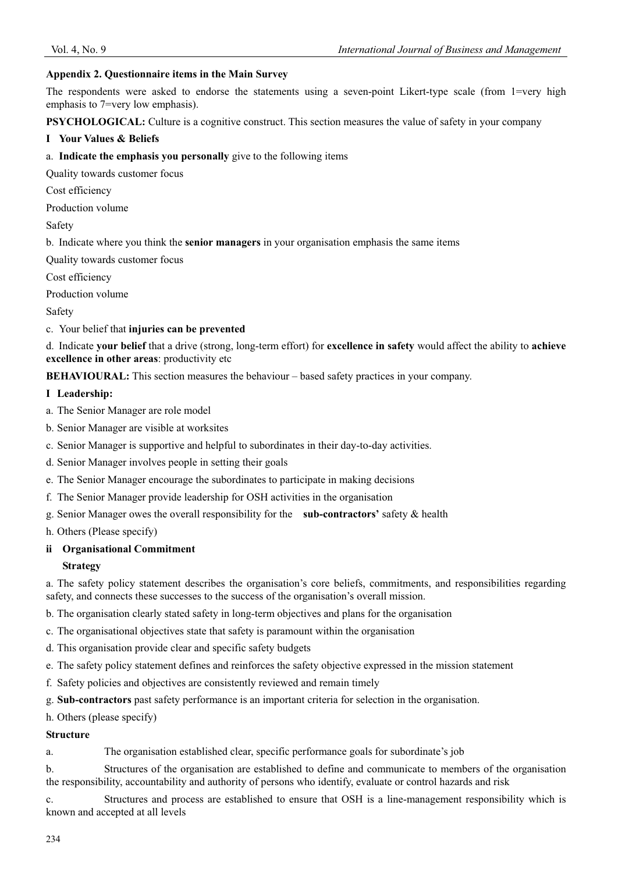## **Appendix 2. Questionnaire items in the Main Survey**

The respondents were asked to endorse the statements using a seven-point Likert-type scale (from 1=very high emphasis to 7=very low emphasis).

**PSYCHOLOGICAL:** Culture is a cognitive construct. This section measures the value of safety in your company

#### **I Your Values & Beliefs**

a. **Indicate the emphasis you personally** give to the following items

Quality towards customer focus

Cost efficiency

Production volume

Safety

b. Indicate where you think the **senior managers** in your organisation emphasis the same items

Quality towards customer focus

Cost efficiency

Production volume

Safety

#### c. Your belief that **injuries can be prevented**

d. Indicate **your belief** that a drive (strong, long-term effort) for **excellence in safety** would affect the ability to **achieve excellence in other areas**: productivity etc

**BEHAVIOURAL:** This section measures the behaviour – based safety practices in your company.

#### **I Leadership:**

- a. The Senior Manager are role model
- b. Senior Manager are visible at worksites
- c. Senior Manager is supportive and helpful to subordinates in their day-to-day activities.
- d. Senior Manager involves people in setting their goals
- e. The Senior Manager encourage the subordinates to participate in making decisions
- f. The Senior Manager provide leadership for OSH activities in the organisation
- g. Senior Manager owes the overall responsibility for the **sub-contractors'** safety & health

h. Others (Please specify)

## **ii Organisational Commitment**

## **Strategy**

a. The safety policy statement describes the organisation's core beliefs, commitments, and responsibilities regarding safety, and connects these successes to the success of the organisation's overall mission.

- b. The organisation clearly stated safety in long-term objectives and plans for the organisation
- c. The organisational objectives state that safety is paramount within the organisation
- d. This organisation provide clear and specific safety budgets
- e. The safety policy statement defines and reinforces the safety objective expressed in the mission statement
- f. Safety policies and objectives are consistently reviewed and remain timely
- g. **Sub-contractors** past safety performance is an important criteria for selection in the organisation.
- h. Others (please specify)

#### **Structure**

a. The organisation established clear, specific performance goals for subordinate's job

b. Structures of the organisation are established to define and communicate to members of the organisation the responsibility, accountability and authority of persons who identify, evaluate or control hazards and risk

c. Structures and process are established to ensure that OSH is a line-management responsibility which is known and accepted at all levels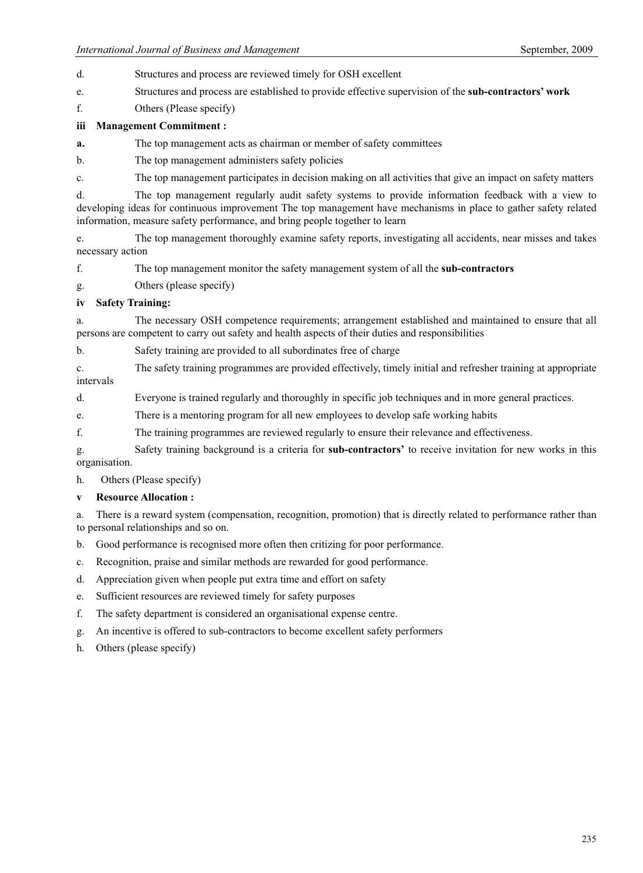d. Structures and process are reviewed timely for OSH excellent

e. Structures and process are established to provide effective supervision of the **sub-contractors' work**

f. Others (Please specify)

## **iii Management Commitment :**

**a.** The top management acts as chairman or member of safety committees

b. The top management administers safety policies

c. The top management participates in decision making on all activities that give an impact on safety matters

d. The top management regularly audit safety systems to provide information feedback with a view to developing ideas for continuous improvement The top management have mechanisms in place to gather safety related information, measure safety performance, and bring people together to learn

e. The top management thoroughly examine safety reports, investigating all accidents, near misses and takes necessary action

f. The top management monitor the safety management system of all the **sub-contractors**

g. Others (please specify)

## **iv Safety Training:**

a. The necessary OSH competence requirements; arrangement established and maintained to ensure that all persons are competent to carry out safety and health aspects of their duties and responsibilities

b. Safety training are provided to all subordinates free of charge

c. The safety training programmes are provided effectively, timely initial and refresher training at appropriate intervals

d. Everyone is trained regularly and thoroughly in specific job techniques and in more general practices.

e. There is a mentoring program for all new employees to develop safe working habits

f. The training programmes are reviewed regularly to ensure their relevance and effectiveness.

g. Safety training background is a criteria for **sub-contractors'** to receive invitation for new works in this organisation.

h. Others (Please specify)

## **v Resource Allocation :**

a. There is a reward system (compensation, recognition, promotion) that is directly related to performance rather than to personal relationships and so on.

b. Good performance is recognised more often then critizing for poor performance.

c. Recognition, praise and similar methods are rewarded for good performance.

d. Appreciation given when people put extra time and effort on safety

e. Sufficient resources are reviewed timely for safety purposes

f. The safety department is considered an organisational expense centre.

g. An incentive is offered to sub-contractors to become excellent safety performers

h. Others (please specify)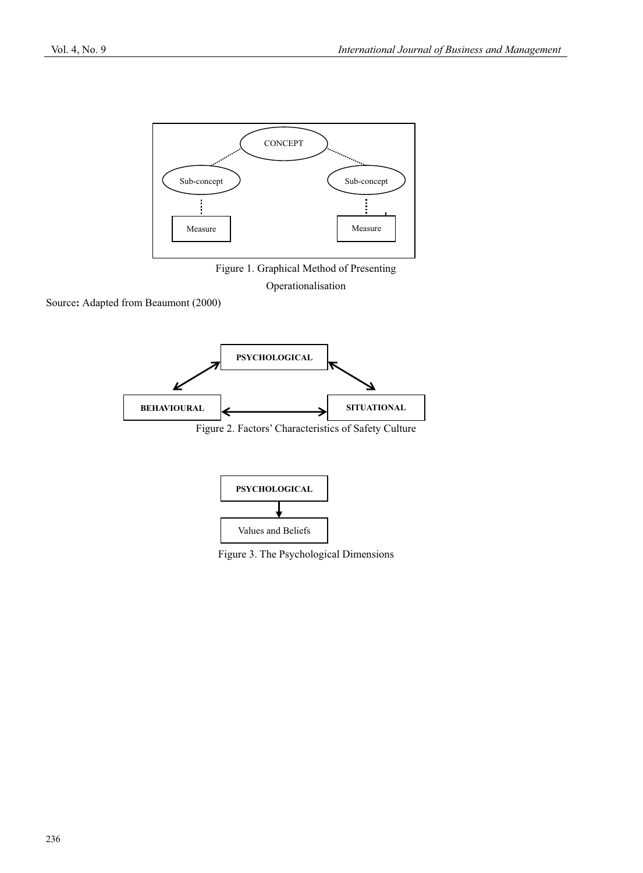

Figure 1. Graphical Method of Presenting Operationalisation

Source**:** Adapted from Beaumont (2000)





Figure 3. The Psychological Dimensions